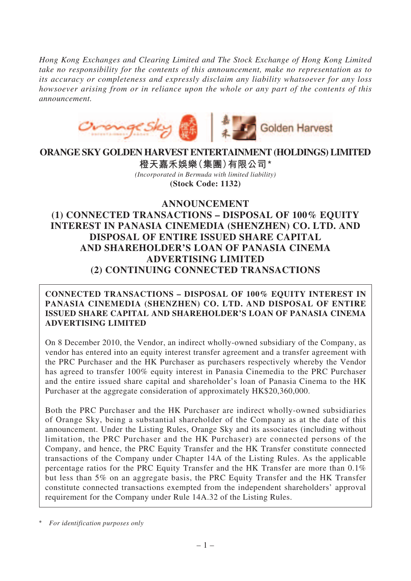*Hong Kong Exchanges and Clearing Limited and The Stock Exchange of Hong Kong Limited take no responsibility for the contents of this announcement, make no representation as to its accuracy or completeness and expressly disclaim any liability whatsoever for any loss howsoever arising from or in reliance upon the whole or any part of the contents of this announcement.*



# **ORANGE SKY GOLDEN HARVEST ENTERTAINMENT (HOLDINGS) LIMITED**

**橙天嘉禾娛樂(集團)有限公司 \*** *(Incorporated in Bermuda with limited liability)* **(Stock Code: 1132)**

# **ANNOUNCEMENT (1) CONNECTED TRANSACTIONS – DISPOSAL OF 100% EQUITY INTEREST IN PANASIA CINEMEDIA (SHENZHEN) CO. LTD. AND DISPOSAL OF ENTIRE ISSUED SHARE CAPITAL AND SHAREHOLDER'S LOAN OF PANASIA CINEMA ADVERTISING LIMITED (2) CONTINUING CONNECTED TRANSACTIONS**

# **CONNECTED TRANSACTIONS – DISPOSAL OF 100% EQUITY INTEREST IN PANASIA CINEMEDIA (SHENZHEN) CO. LTD. AND DISPOSAL OF ENTIRE ISSUED SHARE CAPITAL AND SHAREHOLDER'S LOAN OF PANASIA CINEMA ADVERTISING LIMITED**

On 8 December 2010, the Vendor, an indirect wholly-owned subsidiary of the Company, as vendor has entered into an equity interest transfer agreement and a transfer agreement with the PRC Purchaser and the HK Purchaser as purchasers respectively whereby the Vendor has agreed to transfer 100% equity interest in Panasia Cinemedia to the PRC Purchaser and the entire issued share capital and shareholder's loan of Panasia Cinema to the HK Purchaser at the aggregate consideration of approximately HK\$20,360,000.

Both the PRC Purchaser and the HK Purchaser are indirect wholly-owned subsidiaries of Orange Sky, being a substantial shareholder of the Company as at the date of this announcement. Under the Listing Rules, Orange Sky and its associates (including without limitation, the PRC Purchaser and the HK Purchaser) are connected persons of the Company, and hence, the PRC Equity Transfer and the HK Transfer constitute connected transactions of the Company under Chapter 14A of the Listing Rules. As the applicable percentage ratios for the PRC Equity Transfer and the HK Transfer are more than 0.1% but less than 5% on an aggregate basis, the PRC Equity Transfer and the HK Transfer constitute connected transactions exempted from the independent shareholders' approval requirement for the Company under Rule 14A.32 of the Listing Rules.

<sup>\*</sup> *For identification purposes only*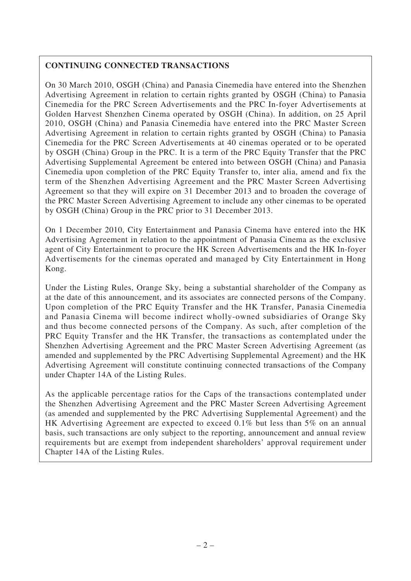# **CONTINUING CONNECTED TRANSACTIONS**

On 30 March 2010, OSGH (China) and Panasia Cinemedia have entered into the Shenzhen Advertising Agreement in relation to certain rights granted by OSGH (China) to Panasia Cinemedia for the PRC Screen Advertisements and the PRC In-foyer Advertisements at Golden Harvest Shenzhen Cinema operated by OSGH (China). In addition, on 25 April 2010, OSGH (China) and Panasia Cinemedia have entered into the PRC Master Screen Advertising Agreement in relation to certain rights granted by OSGH (China) to Panasia Cinemedia for the PRC Screen Advertisements at 40 cinemas operated or to be operated by OSGH (China) Group in the PRC. It is a term of the PRC Equity Transfer that the PRC Advertising Supplemental Agreement be entered into between OSGH (China) and Panasia Cinemedia upon completion of the PRC Equity Transfer to, inter alia, amend and fix the term of the Shenzhen Advertising Agreement and the PRC Master Screen Advertising Agreement so that they will expire on 31 December 2013 and to broaden the coverage of the PRC Master Screen Advertising Agreement to include any other cinemas to be operated by OSGH (China) Group in the PRC prior to 31 December 2013.

On 1 December 2010, City Entertainment and Panasia Cinema have entered into the HK Advertising Agreement in relation to the appointment of Panasia Cinema as the exclusive agent of City Entertainment to procure the HK Screen Advertisements and the HK In-foyer Advertisements for the cinemas operated and managed by City Entertainment in Hong Kong.

Under the Listing Rules, Orange Sky, being a substantial shareholder of the Company as at the date of this announcement, and its associates are connected persons of the Company. Upon completion of the PRC Equity Transfer and the HK Transfer, Panasia Cinemedia and Panasia Cinema will become indirect wholly-owned subsidiaries of Orange Sky and thus become connected persons of the Company. As such, after completion of the PRC Equity Transfer and the HK Transfer, the transactions as contemplated under the Shenzhen Advertising Agreement and the PRC Master Screen Advertising Agreement (as amended and supplemented by the PRC Advertising Supplemental Agreement) and the HK Advertising Agreement will constitute continuing connected transactions of the Company under Chapter 14A of the Listing Rules.

As the applicable percentage ratios for the Caps of the transactions contemplated under the Shenzhen Advertising Agreement and the PRC Master Screen Advertising Agreement (as amended and supplemented by the PRC Advertising Supplemental Agreement) and the HK Advertising Agreement are expected to exceed 0.1% but less than 5% on an annual basis, such transactions are only subject to the reporting, announcement and annual review requirements but are exempt from independent shareholders' approval requirement under Chapter 14A of the Listing Rules.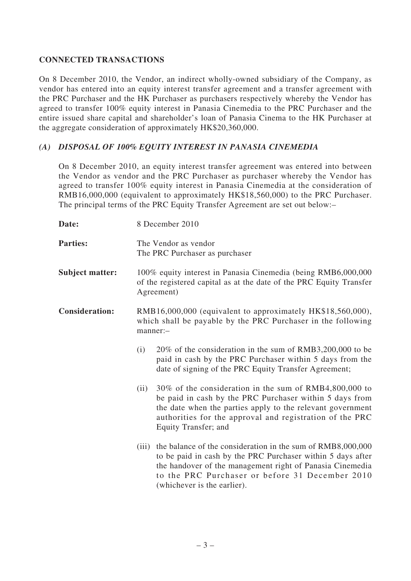# **CONNECTED TRANSACTIONS**

On 8 December 2010, the Vendor, an indirect wholly-owned subsidiary of the Company, as vendor has entered into an equity interest transfer agreement and a transfer agreement with the PRC Purchaser and the HK Purchaser as purchasers respectively whereby the Vendor has agreed to transfer 100% equity interest in Panasia Cinemedia to the PRC Purchaser and the entire issued share capital and shareholder's loan of Panasia Cinema to the HK Purchaser at the aggregate consideration of approximately HK\$20,360,000.

# *(A) DISPOSAL OF 100% EQUITY INTEREST IN PANASIA CINEMEDIA*

On 8 December 2010, an equity interest transfer agreement was entered into between the Vendor as vendor and the PRC Purchaser as purchaser whereby the Vendor has agreed to transfer 100% equity interest in Panasia Cinemedia at the consideration of RMB16,000,000 (equivalent to approximately HK\$18,560,000) to the PRC Purchaser. The principal terms of the PRC Equity Transfer Agreement are set out below:–

| Date:                  | 8 December 2010 |                                                                                                                                                                                                                                                                           |  |
|------------------------|-----------------|---------------------------------------------------------------------------------------------------------------------------------------------------------------------------------------------------------------------------------------------------------------------------|--|
| <b>Parties:</b>        |                 | The Vendor as vendor<br>The PRC Purchaser as purchaser                                                                                                                                                                                                                    |  |
| <b>Subject matter:</b> |                 | 100% equity interest in Panasia Cinemedia (being RMB6,000,000<br>of the registered capital as at the date of the PRC Equity Transfer<br>Agreement)                                                                                                                        |  |
| <b>Consideration:</b>  | manner:-        | RMB16,000,000 (equivalent to approximately HK\$18,560,000),<br>which shall be payable by the PRC Purchaser in the following                                                                                                                                               |  |
|                        | (i)             | 20% of the consideration in the sum of RMB3,200,000 to be<br>paid in cash by the PRC Purchaser within 5 days from the<br>date of signing of the PRC Equity Transfer Agreement;                                                                                            |  |
|                        | (ii)            | 30% of the consideration in the sum of RMB4,800,000 to<br>be paid in cash by the PRC Purchaser within 5 days from<br>the date when the parties apply to the relevant government<br>authorities for the approval and registration of the PRC<br>Equity Transfer; and       |  |
|                        | (iii)           | the balance of the consideration in the sum of RMB8,000,000<br>to be paid in cash by the PRC Purchaser within 5 days after<br>the handover of the management right of Panasia Cinemedia<br>to the PRC Purchaser or before 31 December 2010<br>(whichever is the earlier). |  |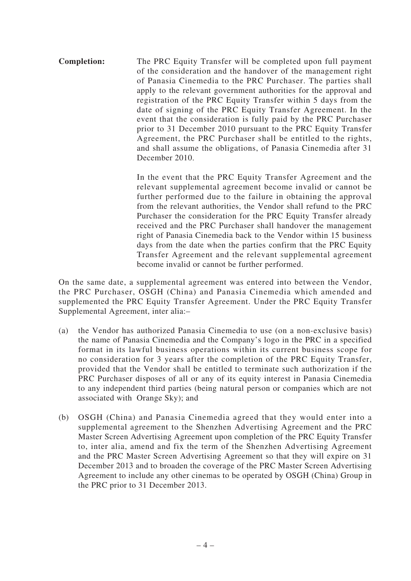**Completion:** The PRC Equity Transfer will be completed upon full payment of the consideration and the handover of the management right of Panasia Cinemedia to the PRC Purchaser. The parties shall apply to the relevant government authorities for the approval and registration of the PRC Equity Transfer within 5 days from the date of signing of the PRC Equity Transfer Agreement. In the event that the consideration is fully paid by the PRC Purchaser prior to 31 December 2010 pursuant to the PRC Equity Transfer Agreement, the PRC Purchaser shall be entitled to the rights, and shall assume the obligations, of Panasia Cinemedia after 31 December 2010.

> In the event that the PRC Equity Transfer Agreement and the relevant supplemental agreement become invalid or cannot be further performed due to the failure in obtaining the approval from the relevant authorities, the Vendor shall refund to the PRC Purchaser the consideration for the PRC Equity Transfer already received and the PRC Purchaser shall handover the management right of Panasia Cinemedia back to the Vendor within 15 business days from the date when the parties confirm that the PRC Equity Transfer Agreement and the relevant supplemental agreement become invalid or cannot be further performed.

On the same date, a supplemental agreement was entered into between the Vendor, the PRC Purchaser, OSGH (China) and Panasia Cinemedia which amended and supplemented the PRC Equity Transfer Agreement. Under the PRC Equity Transfer Supplemental Agreement, inter alia:–

- (a) the Vendor has authorized Panasia Cinemedia to use (on a non-exclusive basis) the name of Panasia Cinemedia and the Company's logo in the PRC in a specified format in its lawful business operations within its current business scope for no consideration for 3 years after the completion of the PRC Equity Transfer, provided that the Vendor shall be entitled to terminate such authorization if the PRC Purchaser disposes of all or any of its equity interest in Panasia Cinemedia to any independent third parties (being natural person or companies which are not associated with Orange Sky); and
- (b) OSGH (China) and Panasia Cinemedia agreed that they would enter into a supplemental agreement to the Shenzhen Advertising Agreement and the PRC Master Screen Advertising Agreement upon completion of the PRC Equity Transfer to, inter alia, amend and fix the term of the Shenzhen Advertising Agreement and the PRC Master Screen Advertising Agreement so that they will expire on 31 December 2013 and to broaden the coverage of the PRC Master Screen Advertising Agreement to include any other cinemas to be operated by OSGH (China) Group in the PRC prior to 31 December 2013.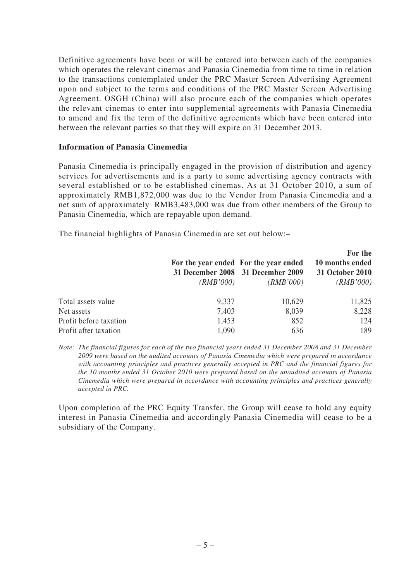Definitive agreements have been or will be entered into between each of the companies which operates the relevant cinemas and Panasia Cinemedia from time to time in relation to the transactions contemplated under the PRC Master Screen Advertising Agreement upon and subject to the terms and conditions of the PRC Master Screen Advertising Agreement. OSGH (China) will also procure each of the companies which operates the relevant cinemas to enter into supplemental agreements with Panasia Cinemedia to amend and fix the term of the definitive agreements which have been entered into between the relevant parties so that they will expire on 31 December 2013.

### **Information of Panasia Cinemedia**

Panasia Cinemedia is principally engaged in the provision of distribution and agency services for advertisements and is a party to some advertising agency contracts with several established or to be established cinemas. As at 31 October 2010, a sum of approximately RMB1,872,000 was due to the Vendor from Panasia Cinemedia and a net sum of approximately RMB3,483,000 was due from other members of the Group to Panasia Cinemedia, which are repayable upon demand.

The financial highlights of Panasia Cinemedia are set out below:–

|                        | (RMB'000) | For the year ended For the year ended<br>31 December 2008 31 December 2009<br>(RMB'000) | For the<br>10 months ended<br>31 October 2010<br>(RMB'000) |
|------------------------|-----------|-----------------------------------------------------------------------------------------|------------------------------------------------------------|
| Total assets value     | 9,337     | 10,629                                                                                  | 11,825                                                     |
| Net assets             | 7,403     | 8,039                                                                                   | 8,228                                                      |
| Profit before taxation | 1,453     | 852                                                                                     | 124                                                        |
| Profit after taxation  | 1,090     | 636                                                                                     | 189                                                        |

*Note: The financial figures for each of the two financial years ended 31 December 2008 and 31 December 2009 were based on the audited accounts of Panasia Cinemedia which were prepared in accordance with accounting principles and practices generally accepted in PRC and the financial figures for the 10 months ended 31 October 2010 were prepared based on the unaudited accounts of Panasia Cinemedia which were prepared in accordance with accounting principles and practices generally accepted in PRC.*

Upon completion of the PRC Equity Transfer, the Group will cease to hold any equity interest in Panasia Cinemedia and accordingly Panasia Cinemedia will cease to be a subsidiary of the Company.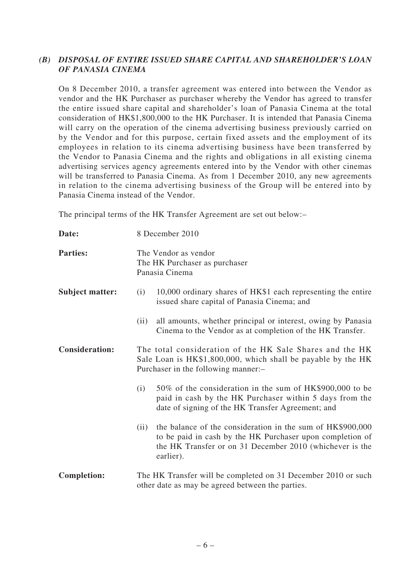# *(B) DISPOSAL OF ENTIRE ISSUED SHARE CAPITAL AND SHAREHOLDER'S LOAN OF PANASIA CINEMA*

On 8 December 2010, a transfer agreement was entered into between the Vendor as vendor and the HK Purchaser as purchaser whereby the Vendor has agreed to transfer the entire issued share capital and shareholder's loan of Panasia Cinema at the total consideration of HK\$1,800,000 to the HK Purchaser. It is intended that Panasia Cinema will carry on the operation of the cinema advertising business previously carried on by the Vendor and for this purpose, certain fixed assets and the employment of its employees in relation to its cinema advertising business have been transferred by the Vendor to Panasia Cinema and the rights and obligations in all existing cinema advertising services agency agreements entered into by the Vendor with other cinemas will be transferred to Panasia Cinema. As from 1 December 2010, any new agreements in relation to the cinema advertising business of the Group will be entered into by Panasia Cinema instead of the Vendor.

The principal terms of the HK Transfer Agreement are set out below:–

| Date:                  |      | 8 December 2010                                                                                                                                                                                  |
|------------------------|------|--------------------------------------------------------------------------------------------------------------------------------------------------------------------------------------------------|
| <b>Parties:</b>        |      | The Vendor as vendor<br>The HK Purchaser as purchaser<br>Panasia Cinema                                                                                                                          |
| <b>Subject matter:</b> | (i)  | 10,000 ordinary shares of HK\$1 each representing the entire<br>issued share capital of Panasia Cinema; and                                                                                      |
|                        | (ii) | all amounts, whether principal or interest, owing by Panasia<br>Cinema to the Vendor as at completion of the HK Transfer.                                                                        |
| <b>Consideration:</b>  |      | The total consideration of the HK Sale Shares and the HK<br>Sale Loan is HK\$1,800,000, which shall be payable by the HK<br>Purchaser in the following manner:-                                  |
|                        | (i)  | 50% of the consideration in the sum of HK\$900,000 to be<br>paid in cash by the HK Purchaser within 5 days from the<br>date of signing of the HK Transfer Agreement; and                         |
|                        | (ii) | the balance of the consideration in the sum of HK\$900,000<br>to be paid in cash by the HK Purchaser upon completion of<br>the HK Transfer or on 31 December 2010 (whichever is the<br>earlier). |
| <b>Completion:</b>     |      | The HK Transfer will be completed on 31 December 2010 or such<br>other date as may be agreed between the parties.                                                                                |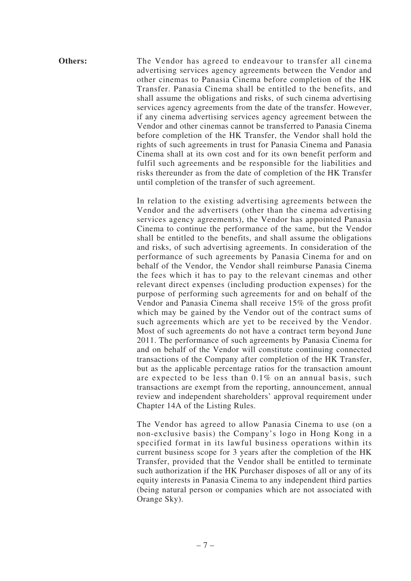**Others:** The Vendor has agreed to endeavour to transfer all cinema advertising services agency agreements between the Vendor and other cinemas to Panasia Cinema before completion of the HK Transfer. Panasia Cinema shall be entitled to the benefits, and shall assume the obligations and risks, of such cinema advertising services agency agreements from the date of the transfer. However, if any cinema advertising services agency agreement between the Vendor and other cinemas cannot be transferred to Panasia Cinema before completion of the HK Transfer, the Vendor shall hold the rights of such agreements in trust for Panasia Cinema and Panasia Cinema shall at its own cost and for its own benefit perform and fulfil such agreements and be responsible for the liabilities and risks thereunder as from the date of completion of the HK Transfer until completion of the transfer of such agreement.

> In relation to the existing advertising agreements between the Vendor and the advertisers (other than the cinema advertising services agency agreements), the Vendor has appointed Panasia Cinema to continue the performance of the same, but the Vendor shall be entitled to the benefits, and shall assume the obligations and risks, of such advertising agreements. In consideration of the performance of such agreements by Panasia Cinema for and on behalf of the Vendor, the Vendor shall reimburse Panasia Cinema the fees which it has to pay to the relevant cinemas and other relevant direct expenses (including production expenses) for the purpose of performing such agreements for and on behalf of the Vendor and Panasia Cinema shall receive 15% of the gross profit which may be gained by the Vendor out of the contract sums of such agreements which are yet to be received by the Vendor. Most of such agreements do not have a contract term beyond June 2011. The performance of such agreements by Panasia Cinema for and on behalf of the Vendor will constitute continuing connected transactions of the Company after completion of the HK Transfer, but as the applicable percentage ratios for the transaction amount are expected to be less than 0.1% on an annual basis, such transactions are exempt from the reporting, announcement, annual review and independent shareholders' approval requirement under Chapter 14A of the Listing Rules.

> The Vendor has agreed to allow Panasia Cinema to use (on a non-exclusive basis) the Company's logo in Hong Kong in a specified format in its lawful business operations within its current business scope for 3 years after the completion of the HK Transfer, provided that the Vendor shall be entitled to terminate such authorization if the HK Purchaser disposes of all or any of its equity interests in Panasia Cinema to any independent third parties (being natural person or companies which are not associated with Orange Sky).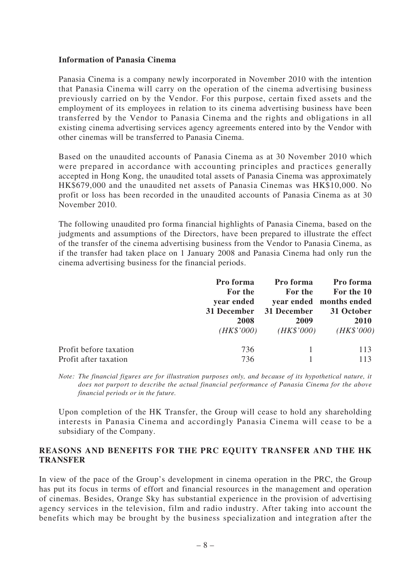### **Information of Panasia Cinema**

Panasia Cinema is a company newly incorporated in November 2010 with the intention that Panasia Cinema will carry on the operation of the cinema advertising business previously carried on by the Vendor. For this purpose, certain fixed assets and the employment of its employees in relation to its cinema advertising business have been transferred by the Vendor to Panasia Cinema and the rights and obligations in all existing cinema advertising services agency agreements entered into by the Vendor with other cinemas will be transferred to Panasia Cinema.

Based on the unaudited accounts of Panasia Cinema as at 30 November 2010 which were prepared in accordance with accounting principles and practices generally accepted in Hong Kong, the unaudited total assets of Panasia Cinema was approximately HK\$679,000 and the unaudited net assets of Panasia Cinemas was HK\$10,000. No profit or loss has been recorded in the unaudited accounts of Panasia Cinema as at 30 November 2010.

The following unaudited pro forma financial highlights of Panasia Cinema, based on the judgments and assumptions of the Directors, have been prepared to illustrate the effect of the transfer of the cinema advertising business from the Vendor to Panasia Cinema, as if the transfer had taken place on 1 January 2008 and Panasia Cinema had only run the cinema advertising business for the financial periods.

|                        | Pro forma   | Pro forma   | Pro forma               |
|------------------------|-------------|-------------|-------------------------|
|                        | For the     | For the     | For the 10              |
|                        | year ended  |             | year ended months ended |
|                        | 31 December | 31 December | 31 October              |
|                        | 2008        | 2009        | 2010                    |
|                        | (HK\$'000)  | (HK\$'000)  | (HK\$'000)              |
| Profit before taxation | 736         |             | 113                     |
| Profit after taxation  | 736         |             | 113                     |

*Note: The financial figures are for illustration purposes only, and because of its hypothetical nature, it does not purport to describe the actual financial performance of Panasia Cinema for the above financial periods or in the future.*

Upon completion of the HK Transfer, the Group will cease to hold any shareholding interests in Panasia Cinema and accordingly Panasia Cinema will cease to be a subsidiary of the Company.

# **REASONS AND BENEFITS FOR THE PRC EQUITY TRANSFER AND THE HK TRANSFER**

In view of the pace of the Group's development in cinema operation in the PRC, the Group has put its focus in terms of effort and financial resources in the management and operation of cinemas. Besides, Orange Sky has substantial experience in the provision of advertising agency services in the television, film and radio industry. After taking into account the benefits which may be brought by the business specialization and integration after the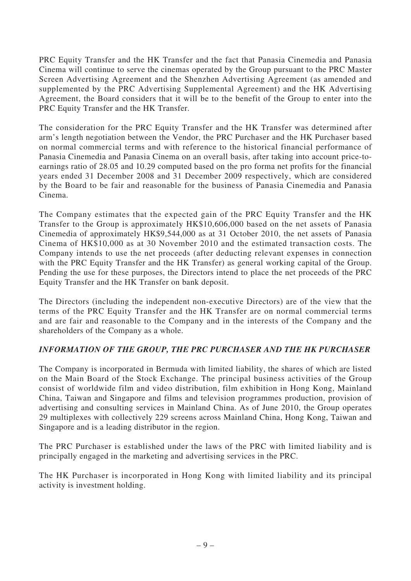PRC Equity Transfer and the HK Transfer and the fact that Panasia Cinemedia and Panasia Cinema will continue to serve the cinemas operated by the Group pursuant to the PRC Master Screen Advertising Agreement and the Shenzhen Advertising Agreement (as amended and supplemented by the PRC Advertising Supplemental Agreement) and the HK Advertising Agreement, the Board considers that it will be to the benefit of the Group to enter into the PRC Equity Transfer and the HK Transfer.

The consideration for the PRC Equity Transfer and the HK Transfer was determined after arm's length negotiation between the Vendor, the PRC Purchaser and the HK Purchaser based on normal commercial terms and with reference to the historical financial performance of Panasia Cinemedia and Panasia Cinema on an overall basis, after taking into account price-toearnings ratio of 28.05 and 10.29 computed based on the pro forma net profits for the financial years ended 31 December 2008 and 31 December 2009 respectively, which are considered by the Board to be fair and reasonable for the business of Panasia Cinemedia and Panasia Cinema.

The Company estimates that the expected gain of the PRC Equity Transfer and the HK Transfer to the Group is approximately HK\$10,606,000 based on the net assets of Panasia Cinemedia of approximately HK\$9,544,000 as at 31 October 2010, the net assets of Panasia Cinema of HK\$10,000 as at 30 November 2010 and the estimated transaction costs. The Company intends to use the net proceeds (after deducting relevant expenses in connection with the PRC Equity Transfer and the HK Transfer) as general working capital of the Group. Pending the use for these purposes, the Directors intend to place the net proceeds of the PRC Equity Transfer and the HK Transfer on bank deposit.

The Directors (including the independent non-executive Directors) are of the view that the terms of the PRC Equity Transfer and the HK Transfer are on normal commercial terms and are fair and reasonable to the Company and in the interests of the Company and the shareholders of the Company as a whole.

# *INFORMATION OF THE GROUP, THE PRC PURCHASER AND THE HK PURCHASER*

The Company is incorporated in Bermuda with limited liability, the shares of which are listed on the Main Board of the Stock Exchange. The principal business activities of the Group consist of worldwide film and video distribution, film exhibition in Hong Kong, Mainland China, Taiwan and Singapore and films and television programmes production, provision of advertising and consulting services in Mainland China. As of June 2010, the Group operates 29 multiplexes with collectively 229 screens across Mainland China, Hong Kong, Taiwan and Singapore and is a leading distributor in the region.

The PRC Purchaser is established under the laws of the PRC with limited liability and is principally engaged in the marketing and advertising services in the PRC.

The HK Purchaser is incorporated in Hong Kong with limited liability and its principal activity is investment holding.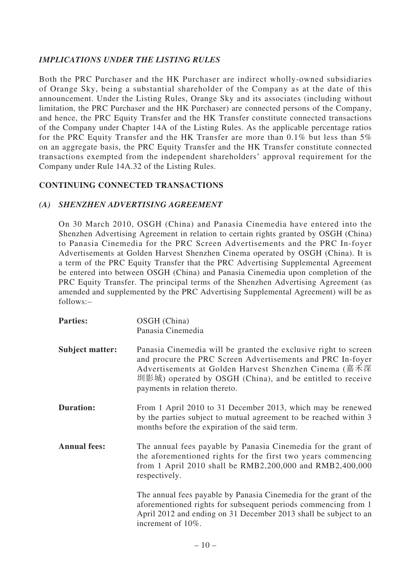# *IMPLICATIONS UNDER THE LISTING RULES*

Both the PRC Purchaser and the HK Purchaser are indirect wholly-owned subsidiaries of Orange Sky, being a substantial shareholder of the Company as at the date of this announcement. Under the Listing Rules, Orange Sky and its associates (including without limitation, the PRC Purchaser and the HK Purchaser) are connected persons of the Company, and hence, the PRC Equity Transfer and the HK Transfer constitute connected transactions of the Company under Chapter 14A of the Listing Rules. As the applicable percentage ratios for the PRC Equity Transfer and the HK Transfer are more than 0.1% but less than 5% on an aggregate basis, the PRC Equity Transfer and the HK Transfer constitute connected transactions exempted from the independent shareholders' approval requirement for the Company under Rule 14A.32 of the Listing Rules.

# **CONTINUING CONNECTED TRANSACTIONS**

#### *(A) SHENZHEN ADVERTISING AGREEMENT*

On 30 March 2010, OSGH (China) and Panasia Cinemedia have entered into the Shenzhen Advertising Agreement in relation to certain rights granted by OSGH (China) to Panasia Cinemedia for the PRC Screen Advertisements and the PRC In-foyer Advertisements at Golden Harvest Shenzhen Cinema operated by OSGH (China). It is a term of the PRC Equity Transfer that the PRC Advertising Supplemental Agreement be entered into between OSGH (China) and Panasia Cinemedia upon completion of the PRC Equity Transfer. The principal terms of the Shenzhen Advertising Agreement (as amended and supplemented by the PRC Advertising Supplemental Agreement) will be as follows:–

Parties: OSGH (China) Panasia Cinemedia **Subject matter:** Panasia Cinemedia will be granted the exclusive right to screen and procure the PRC Screen Advertisements and PRC In-foyer Advertisements at Golden Harvest Shenzhen Cinema (嘉禾深 圳影城) operated by OSGH (China), and be entitled to receive payments in relation thereto. **Duration:** From 1 April 2010 to 31 December 2013, which may be renewed by the parties subject to mutual agreement to be reached within 3 months before the expiration of the said term. **Annual fees:** The annual fees payable by Panasia Cinemedia for the grant of the aforementioned rights for the first two years commencing from 1 April 2010 shall be RMB2,200,000 and RMB2,400,000 respectively. The annual fees payable by Panasia Cinemedia for the grant of the aforementioned rights for subsequent periods commencing from 1 April 2012 and ending on 31 December 2013 shall be subject to an increment of 10%.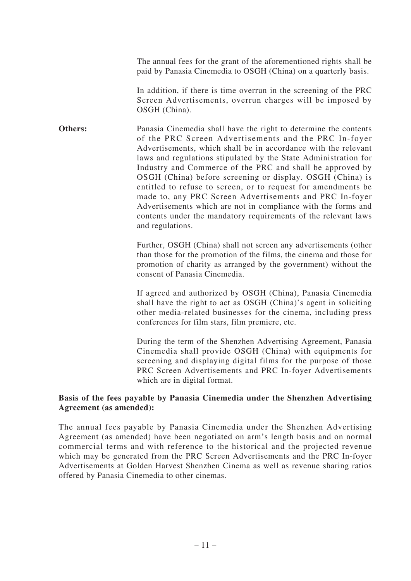The annual fees for the grant of the aforementioned rights shall be paid by Panasia Cinemedia to OSGH (China) on a quarterly basis.

In addition, if there is time overrun in the screening of the PRC Screen Advertisements, overrun charges will be imposed by OSGH (China).

**Others:** Panasia Cinemedia shall have the right to determine the contents of the PRC Screen Advertisements and the PRC In-foyer Advertisements, which shall be in accordance with the relevant laws and regulations stipulated by the State Administration for Industry and Commerce of the PRC and shall be approved by OSGH (China) before screening or display. OSGH (China) is entitled to refuse to screen, or to request for amendments be made to, any PRC Screen Advertisements and PRC In-foyer Advertisements which are not in compliance with the forms and contents under the mandatory requirements of the relevant laws and regulations.

> Further, OSGH (China) shall not screen any advertisements (other than those for the promotion of the films, the cinema and those for promotion of charity as arranged by the government) without the consent of Panasia Cinemedia.

> If agreed and authorized by OSGH (China), Panasia Cinemedia shall have the right to act as OSGH (China)'s agent in soliciting other media-related businesses for the cinema, including press conferences for film stars, film premiere, etc.

> During the term of the Shenzhen Advertising Agreement, Panasia Cinemedia shall provide OSGH (China) with equipments for screening and displaying digital films for the purpose of those PRC Screen Advertisements and PRC In-foyer Advertisements which are in digital format.

### **Basis of the fees payable by Panasia Cinemedia under the Shenzhen Advertising Agreement (as amended):**

The annual fees payable by Panasia Cinemedia under the Shenzhen Advertising Agreement (as amended) have been negotiated on arm's length basis and on normal commercial terms and with reference to the historical and the projected revenue which may be generated from the PRC Screen Advertisements and the PRC In-foyer Advertisements at Golden Harvest Shenzhen Cinema as well as revenue sharing ratios offered by Panasia Cinemedia to other cinemas.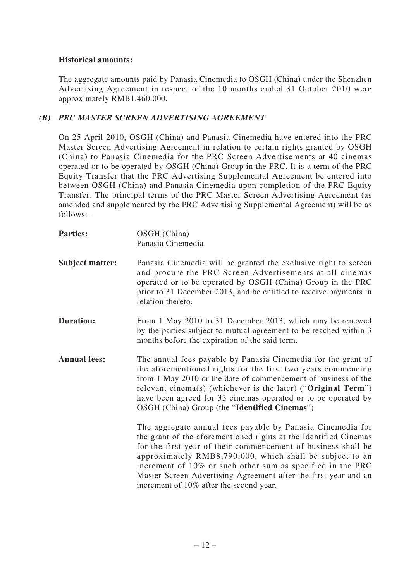# **Historical amounts:**

The aggregate amounts paid by Panasia Cinemedia to OSGH (China) under the Shenzhen Advertising Agreement in respect of the 10 months ended 31 October 2010 were approximately RMB1,460,000.

# *(B) PRC MASTER SCREEN ADVERTISING AGREEMENT*

On 25 April 2010, OSGH (China) and Panasia Cinemedia have entered into the PRC Master Screen Advertising Agreement in relation to certain rights granted by OSGH (China) to Panasia Cinemedia for the PRC Screen Advertisements at 40 cinemas operated or to be operated by OSGH (China) Group in the PRC. It is a term of the PRC Equity Transfer that the PRC Advertising Supplemental Agreement be entered into between OSGH (China) and Panasia Cinemedia upon completion of the PRC Equity Transfer. The principal terms of the PRC Master Screen Advertising Agreement (as amended and supplemented by the PRC Advertising Supplemental Agreement) will be as follows:–

| <b>Parties:</b>        | OSGH (China)<br>Panasia Cinemedia                                                                                                                                                                                                                                                                                                                                                   |
|------------------------|-------------------------------------------------------------------------------------------------------------------------------------------------------------------------------------------------------------------------------------------------------------------------------------------------------------------------------------------------------------------------------------|
| <b>Subject matter:</b> | Panasia Cinemedia will be granted the exclusive right to screen<br>and procure the PRC Screen Advertisements at all cinemas<br>operated or to be operated by OSGH (China) Group in the PRC<br>prior to 31 December 2013, and be entitled to receive payments in<br>relation thereto.                                                                                                |
| <b>Duration:</b>       | From 1 May 2010 to 31 December 2013, which may be renewed<br>by the parties subject to mutual agreement to be reached within 3<br>months before the expiration of the said term.                                                                                                                                                                                                    |
| <b>Annual fees:</b>    | The annual fees payable by Panasia Cinemedia for the grant of<br>the aforementioned rights for the first two years commencing<br>from 1 May 2010 or the date of commencement of business of the<br>relevant cinema(s) (whichever is the later) ("Original Term")<br>have been agreed for 33 cinemas operated or to be operated by<br>OSGH (China) Group (the "Identified Cinemas"). |
|                        | The aggregate annual fees payable by Panasia Cinemedia for<br>the grant of the aforementioned rights at the Identified Cinemas<br>for the first year of their commencement of business shall be<br>approximately RMB8,790,000, which shall be subject to an<br>increment of 10% or such other sum as specified in the PRC                                                           |

Master Screen Advertising Agreement after the first year and an

increment of 10% after the second year.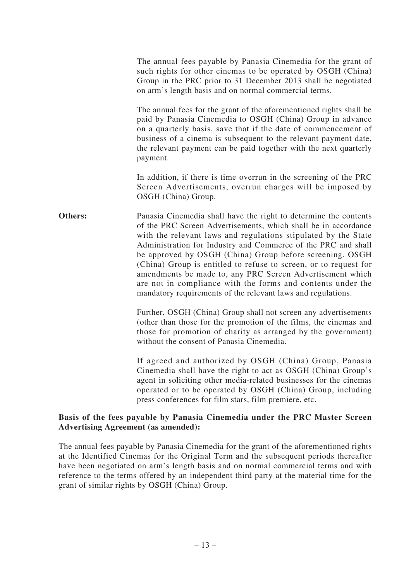The annual fees payable by Panasia Cinemedia for the grant of such rights for other cinemas to be operated by OSGH (China) Group in the PRC prior to 31 December 2013 shall be negotiated on arm's length basis and on normal commercial terms.

The annual fees for the grant of the aforementioned rights shall be paid by Panasia Cinemedia to OSGH (China) Group in advance on a quarterly basis, save that if the date of commencement of business of a cinema is subsequent to the relevant payment date, the relevant payment can be paid together with the next quarterly payment.

In addition, if there is time overrun in the screening of the PRC Screen Advertisements, overrun charges will be imposed by OSGH (China) Group.

**Others:** Panasia Cinemedia shall have the right to determine the contents of the PRC Screen Advertisements, which shall be in accordance with the relevant laws and regulations stipulated by the State Administration for Industry and Commerce of the PRC and shall be approved by OSGH (China) Group before screening. OSGH (China) Group is entitled to refuse to screen, or to request for amendments be made to, any PRC Screen Advertisement which are not in compliance with the forms and contents under the mandatory requirements of the relevant laws and regulations.

> Further, OSGH (China) Group shall not screen any advertisements (other than those for the promotion of the films, the cinemas and those for promotion of charity as arranged by the government) without the consent of Panasia Cinemedia.

> If agreed and authorized by OSGH (China) Group, Panasia Cinemedia shall have the right to act as OSGH (China) Group's agent in soliciting other media-related businesses for the cinemas operated or to be operated by OSGH (China) Group, including press conferences for film stars, film premiere, etc.

### **Basis of the fees payable by Panasia Cinemedia under the PRC Master Screen Advertising Agreement (as amended):**

The annual fees payable by Panasia Cinemedia for the grant of the aforementioned rights at the Identified Cinemas for the Original Term and the subsequent periods thereafter have been negotiated on arm's length basis and on normal commercial terms and with reference to the terms offered by an independent third party at the material time for the grant of similar rights by OSGH (China) Group.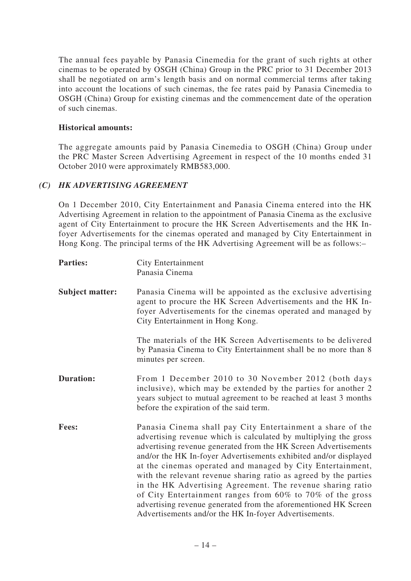The annual fees payable by Panasia Cinemedia for the grant of such rights at other cinemas to be operated by OSGH (China) Group in the PRC prior to 31 December 2013 shall be negotiated on arm's length basis and on normal commercial terms after taking into account the locations of such cinemas, the fee rates paid by Panasia Cinemedia to OSGH (China) Group for existing cinemas and the commencement date of the operation of such cinemas.

### **Historical amounts:**

The aggregate amounts paid by Panasia Cinemedia to OSGH (China) Group under the PRC Master Screen Advertising Agreement in respect of the 10 months ended 31 October 2010 were approximately RMB583,000.

# *(C) HK ADVERTISING AGREEMENT*

On 1 December 2010, City Entertainment and Panasia Cinema entered into the HK Advertising Agreement in relation to the appointment of Panasia Cinema as the exclusive agent of City Entertainment to procure the HK Screen Advertisements and the HK Infoyer Advertisements for the cinemas operated and managed by City Entertainment in Hong Kong. The principal terms of the HK Advertising Agreement will be as follows:–

| <b>Parties:</b>        | <b>City Entertainment</b><br>Panasia Cinema                                                                                                                                                                                                                                                                                                                                                                                                                                                                                                                                                                                                                    |
|------------------------|----------------------------------------------------------------------------------------------------------------------------------------------------------------------------------------------------------------------------------------------------------------------------------------------------------------------------------------------------------------------------------------------------------------------------------------------------------------------------------------------------------------------------------------------------------------------------------------------------------------------------------------------------------------|
| <b>Subject matter:</b> | Panasia Cinema will be appointed as the exclusive advertising<br>agent to procure the HK Screen Advertisements and the HK In-<br>foyer Advertisements for the cinemas operated and managed by<br>City Entertainment in Hong Kong.                                                                                                                                                                                                                                                                                                                                                                                                                              |
|                        | The materials of the HK Screen Advertisements to be delivered<br>by Panasia Cinema to City Entertainment shall be no more than 8<br>minutes per screen.                                                                                                                                                                                                                                                                                                                                                                                                                                                                                                        |
| <b>Duration:</b>       | From 1 December 2010 to 30 November 2012 (both days<br>inclusive), which may be extended by the parties for another 2<br>years subject to mutual agreement to be reached at least 3 months<br>before the expiration of the said term.                                                                                                                                                                                                                                                                                                                                                                                                                          |
| Fees:                  | Panasia Cinema shall pay City Entertainment a share of the<br>advertising revenue which is calculated by multiplying the gross<br>advertising revenue generated from the HK Screen Advertisements<br>and/or the HK In-foyer Advertisements exhibited and/or displayed<br>at the cinemas operated and managed by City Entertainment,<br>with the relevant revenue sharing ratio as agreed by the parties<br>in the HK Advertising Agreement. The revenue sharing ratio<br>of City Entertainment ranges from 60% to 70% of the gross<br>advertising revenue generated from the aforementioned HK Screen<br>Advertisements and/or the HK In-foyer Advertisements. |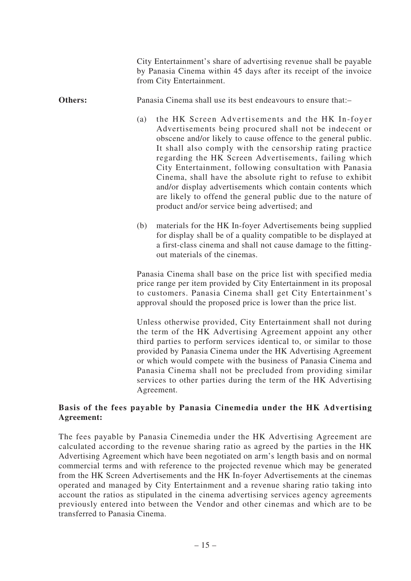City Entertainment's share of advertising revenue shall be payable by Panasia Cinema within 45 days after its receipt of the invoice from City Entertainment. **Others:** Panasia Cinema shall use its best endeavours to ensure that:-(a) the HK Screen Advertisements and the HK In-foyer Advertisements being procured shall not be indecent or obscene and/or likely to cause offence to the general public. It shall also comply with the censorship rating practice regarding the HK Screen Advertisements, failing which City Entertainment, following consultation with Panasia Cinema, shall have the absolute right to refuse to exhibit and/or display advertisements which contain contents which are likely to offend the general public due to the nature of product and/or service being advertised; and (b) materials for the HK In-foyer Advertisements being supplied for display shall be of a quality compatible to be displayed at a first-class cinema and shall not cause damage to the fittingout materials of the cinemas. Panasia Cinema shall base on the price list with specified media price range per item provided by City Entertainment in its proposal to customers. Panasia Cinema shall get City Entertainment's approval should the proposed price is lower than the price list. Unless otherwise provided, City Entertainment shall not during the term of the HK Advertising Agreement appoint any other third parties to perform services identical to, or similar to those provided by Panasia Cinema under the HK Advertising Agreement or which would compete with the business of Panasia Cinema and Panasia Cinema shall not be precluded from providing similar services to other parties during the term of the HK Advertising

Agreement.

# **Basis of the fees payable by Panasia Cinemedia under the HK Advertising Agreement:**

The fees payable by Panasia Cinemedia under the HK Advertising Agreement are calculated according to the revenue sharing ratio as agreed by the parties in the HK Advertising Agreement which have been negotiated on arm's length basis and on normal commercial terms and with reference to the projected revenue which may be generated from the HK Screen Advertisements and the HK In-foyer Advertisements at the cinemas operated and managed by City Entertainment and a revenue sharing ratio taking into account the ratios as stipulated in the cinema advertising services agency agreements previously entered into between the Vendor and other cinemas and which are to be transferred to Panasia Cinema.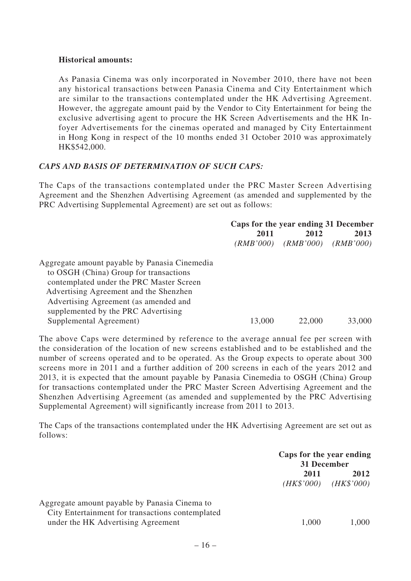### **Historical amounts:**

As Panasia Cinema was only incorporated in November 2010, there have not been any historical transactions between Panasia Cinema and City Entertainment which are similar to the transactions contemplated under the HK Advertising Agreement. However, the aggregate amount paid by the Vendor to City Entertainment for being the exclusive advertising agent to procure the HK Screen Advertisements and the HK Infoyer Advertisements for the cinemas operated and managed by City Entertainment in Hong Kong in respect of the 10 months ended 31 October 2010 was approximately HK\$542,000.

# *CAPS AND BASIS OF DETERMINATION OF SUCH CAPS:*

The Caps of the transactions contemplated under the PRC Master Screen Advertising Agreement and the Shenzhen Advertising Agreement (as amended and supplemented by the PRC Advertising Supplemental Agreement) are set out as follows:

|                                               | Caps for the year ending 31 December |           |           |  |
|-----------------------------------------------|--------------------------------------|-----------|-----------|--|
|                                               | 2011<br>2012                         |           | 2013      |  |
|                                               | (RMB'000)                            | (RMB'000) | (RMB'000) |  |
| Aggregate amount payable by Panasia Cinemedia |                                      |           |           |  |
| to OSGH (China) Group for transactions        |                                      |           |           |  |
| contemplated under the PRC Master Screen      |                                      |           |           |  |
| Advertising Agreement and the Shenzhen        |                                      |           |           |  |
| Advertising Agreement (as amended and         |                                      |           |           |  |
| supplemented by the PRC Advertising           |                                      |           |           |  |
| Supplemental Agreement)                       | 13,000                               | 22,000    | 33,000    |  |

The above Caps were determined by reference to the average annual fee per screen with the consideration of the location of new screens established and to be established and the number of screens operated and to be operated. As the Group expects to operate about 300 screens more in 2011 and a further addition of 200 screens in each of the years 2012 and 2013, it is expected that the amount payable by Panasia Cinemedia to OSGH (China) Group for transactions contemplated under the PRC Master Screen Advertising Agreement and the Shenzhen Advertising Agreement (as amended and supplemented by the PRC Advertising Supplemental Agreement) will significantly increase from 2011 to 2013.

The Caps of the transactions contemplated under the HK Advertising Agreement are set out as follows:

|                                                                                                                                         | Caps for the year ending<br>31 December |                                 |
|-----------------------------------------------------------------------------------------------------------------------------------------|-----------------------------------------|---------------------------------|
|                                                                                                                                         | 2011                                    | 2012<br>$(HK$'000)$ $(HK$'000)$ |
| Aggregate amount payable by Panasia Cinema to<br>City Entertainment for transactions contemplated<br>under the HK Advertising Agreement | 1,000                                   | 1,000                           |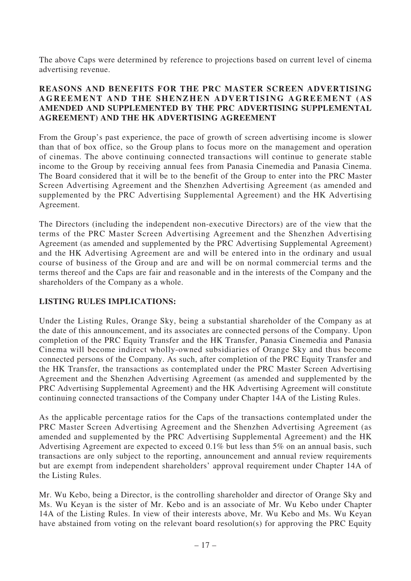The above Caps were determined by reference to projections based on current level of cinema advertising revenue.

### **REASONS AND BENEFITS FOR THE PRC MASTER SCREEN ADVERTISING AGREEMENT AND THE SHENZHEN ADVERTISING AGREEMENT (AS AMENDED AND SUPPLEMENTED BY THE PRC ADVERTISING SUPPLEMENTAL AGREEMENT) AND THE HK ADVERTISING AGREEMENT**

From the Group's past experience, the pace of growth of screen advertising income is slower than that of box office, so the Group plans to focus more on the management and operation of cinemas. The above continuing connected transactions will continue to generate stable income to the Group by receiving annual fees from Panasia Cinemedia and Panasia Cinema. The Board considered that it will be to the benefit of the Group to enter into the PRC Master Screen Advertising Agreement and the Shenzhen Advertising Agreement (as amended and supplemented by the PRC Advertising Supplemental Agreement) and the HK Advertising Agreement.

The Directors (including the independent non-executive Directors) are of the view that the terms of the PRC Master Screen Advertising Agreement and the Shenzhen Advertising Agreement (as amended and supplemented by the PRC Advertising Supplemental Agreement) and the HK Advertising Agreement are and will be entered into in the ordinary and usual course of business of the Group and are and will be on normal commercial terms and the terms thereof and the Caps are fair and reasonable and in the interests of the Company and the shareholders of the Company as a whole.

# **LISTING RULES IMPLICATIONS:**

Under the Listing Rules, Orange Sky, being a substantial shareholder of the Company as at the date of this announcement, and its associates are connected persons of the Company. Upon completion of the PRC Equity Transfer and the HK Transfer, Panasia Cinemedia and Panasia Cinema will become indirect wholly-owned subsidiaries of Orange Sky and thus become connected persons of the Company. As such, after completion of the PRC Equity Transfer and the HK Transfer, the transactions as contemplated under the PRC Master Screen Advertising Agreement and the Shenzhen Advertising Agreement (as amended and supplemented by the PRC Advertising Supplemental Agreement) and the HK Advertising Agreement will constitute continuing connected transactions of the Company under Chapter 14A of the Listing Rules.

As the applicable percentage ratios for the Caps of the transactions contemplated under the PRC Master Screen Advertising Agreement and the Shenzhen Advertising Agreement (as amended and supplemented by the PRC Advertising Supplemental Agreement) and the HK Advertising Agreement are expected to exceed 0.1% but less than 5% on an annual basis, such transactions are only subject to the reporting, announcement and annual review requirements but are exempt from independent shareholders' approval requirement under Chapter 14A of the Listing Rules.

Mr. Wu Kebo, being a Director, is the controlling shareholder and director of Orange Sky and Ms. Wu Keyan is the sister of Mr. Kebo and is an associate of Mr. Wu Kebo under Chapter 14A of the Listing Rules. In view of their interests above, Mr. Wu Kebo and Ms. Wu Keyan have abstained from voting on the relevant board resolution(s) for approving the PRC Equity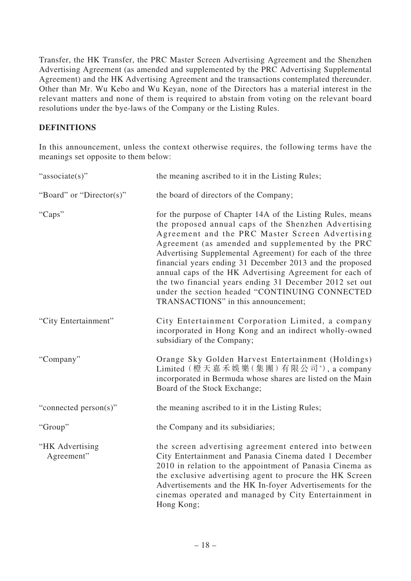Transfer, the HK Transfer, the PRC Master Screen Advertising Agreement and the Shenzhen Advertising Agreement (as amended and supplemented by the PRC Advertising Supplemental Agreement) and the HK Advertising Agreement and the transactions contemplated thereunder. Other than Mr. Wu Kebo and Wu Keyan, none of the Directors has a material interest in the relevant matters and none of them is required to abstain from voting on the relevant board resolutions under the bye-laws of the Company or the Listing Rules.

# **DEFINITIONS**

In this announcement, unless the context otherwise requires, the following terms have the meanings set opposite to them below:

| "associate(s)"                | the meaning ascribed to it in the Listing Rules;                                                                                                                                                                                                                                                                                                                                                                                                                                                                                                                   |
|-------------------------------|--------------------------------------------------------------------------------------------------------------------------------------------------------------------------------------------------------------------------------------------------------------------------------------------------------------------------------------------------------------------------------------------------------------------------------------------------------------------------------------------------------------------------------------------------------------------|
| "Board" or "Director(s)"      | the board of directors of the Company;                                                                                                                                                                                                                                                                                                                                                                                                                                                                                                                             |
| "Caps"                        | for the purpose of Chapter 14A of the Listing Rules, means<br>the proposed annual caps of the Shenzhen Advertising<br>Agreement and the PRC Master Screen Advertising<br>Agreement (as amended and supplemented by the PRC<br>Advertising Supplemental Agreement) for each of the three<br>financial years ending 31 December 2013 and the proposed<br>annual caps of the HK Advertising Agreement for each of<br>the two financial years ending 31 December 2012 set out<br>under the section headed "CONTINUING CONNECTED<br>TRANSACTIONS" in this announcement; |
| "City Entertainment"          | City Entertainment Corporation Limited, a company<br>incorporated in Hong Kong and an indirect wholly-owned<br>subsidiary of the Company;                                                                                                                                                                                                                                                                                                                                                                                                                          |
| "Company"                     | Orange Sky Golden Harvest Entertainment (Holdings)<br>Limited (橙天嘉禾娛樂(集團)有限公司*), a company<br>incorporated in Bermuda whose shares are listed on the Main<br>Board of the Stock Exchange;                                                                                                                                                                                                                                                                                                                                                                          |
| "connected person(s)"         | the meaning ascribed to it in the Listing Rules;                                                                                                                                                                                                                                                                                                                                                                                                                                                                                                                   |
| "Group"                       | the Company and its subsidiaries;                                                                                                                                                                                                                                                                                                                                                                                                                                                                                                                                  |
| "HK Advertising<br>Agreement" | the screen advertising agreement entered into between<br>City Entertainment and Panasia Cinema dated 1 December<br>2010 in relation to the appointment of Panasia Cinema as<br>the exclusive advertising agent to procure the HK Screen<br>Advertisements and the HK In-foyer Advertisements for the<br>cinemas operated and managed by City Entertainment in<br>Hong Kong;                                                                                                                                                                                        |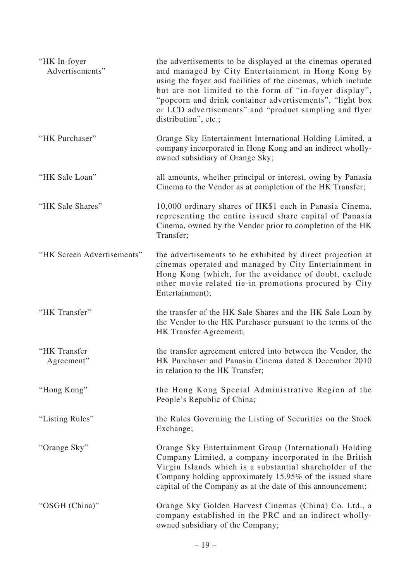| "HK In-foyer<br>Advertisements" | the advertisements to be displayed at the cinemas operated<br>and managed by City Entertainment in Hong Kong by<br>using the foyer and facilities of the cinemas, which include<br>but are not limited to the form of "in-foyer display",<br>"popcorn and drink container advertisements", "light box<br>or LCD advertisements" and "product sampling and flyer<br>distribution", etc.; |
|---------------------------------|-----------------------------------------------------------------------------------------------------------------------------------------------------------------------------------------------------------------------------------------------------------------------------------------------------------------------------------------------------------------------------------------|
| "HK Purchaser"                  | Orange Sky Entertainment International Holding Limited, a<br>company incorporated in Hong Kong and an indirect wholly-<br>owned subsidiary of Orange Sky;                                                                                                                                                                                                                               |
| "HK Sale Loan"                  | all amounts, whether principal or interest, owing by Panasia<br>Cinema to the Vendor as at completion of the HK Transfer;                                                                                                                                                                                                                                                               |
| "HK Sale Shares"                | 10,000 ordinary shares of HK\$1 each in Panasia Cinema,<br>representing the entire issued share capital of Panasia<br>Cinema, owned by the Vendor prior to completion of the HK<br>Transfer;                                                                                                                                                                                            |
| "HK Screen Advertisements"      | the advertisements to be exhibited by direct projection at<br>cinemas operated and managed by City Entertainment in<br>Hong Kong (which, for the avoidance of doubt, exclude<br>other movie related tie-in promotions procured by City<br>Entertainment);                                                                                                                               |
| "HK Transfer"                   | the transfer of the HK Sale Shares and the HK Sale Loan by<br>the Vendor to the HK Purchaser pursuant to the terms of the<br>HK Transfer Agreement;                                                                                                                                                                                                                                     |
| "HK Transfer<br>Agreement"      | the transfer agreement entered into between the Vendor, the<br>HK Purchaser and Panasia Cinema dated 8 December 2010<br>in relation to the HK Transfer;                                                                                                                                                                                                                                 |
| "Hong Kong"                     | the Hong Kong Special Administrative Region of the<br>People's Republic of China;                                                                                                                                                                                                                                                                                                       |
| "Listing Rules"                 | the Rules Governing the Listing of Securities on the Stock<br>Exchange;                                                                                                                                                                                                                                                                                                                 |
| "Orange Sky"                    | Orange Sky Entertainment Group (International) Holding<br>Company Limited, a company incorporated in the British<br>Virgin Islands which is a substantial shareholder of the<br>Company holding approximately 15.95% of the issued share<br>capital of the Company as at the date of this announcement;                                                                                 |
| "OSGH (China)"                  | Orange Sky Golden Harvest Cinemas (China) Co. Ltd., a<br>company established in the PRC and an indirect wholly-<br>owned subsidiary of the Company;                                                                                                                                                                                                                                     |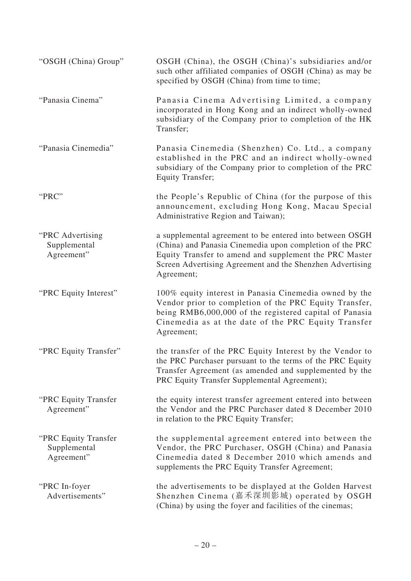| "OSGH (China) Group"                               | OSGH (China), the OSGH (China)'s subsidiaries and/or<br>such other affiliated companies of OSGH (China) as may be<br>specified by OSGH (China) from time to time;                                                                                         |
|----------------------------------------------------|-----------------------------------------------------------------------------------------------------------------------------------------------------------------------------------------------------------------------------------------------------------|
| "Panasia Cinema"                                   | Panasia Cinema Advertising Limited, a company<br>incorporated in Hong Kong and an indirect wholly-owned<br>subsidiary of the Company prior to completion of the HK<br>Transfer;                                                                           |
| "Panasia Cinemedia"                                | Panasia Cinemedia (Shenzhen) Co. Ltd., a company<br>established in the PRC and an indirect wholly-owned<br>subsidiary of the Company prior to completion of the PRC<br><b>Equity Transfer;</b>                                                            |
| "PRC"                                              | the People's Republic of China (for the purpose of this<br>announcement, excluding Hong Kong, Macau Special<br>Administrative Region and Taiwan);                                                                                                         |
| "PRC Advertising<br>Supplemental<br>Agreement"     | a supplemental agreement to be entered into between OSGH<br>(China) and Panasia Cinemedia upon completion of the PRC<br>Equity Transfer to amend and supplement the PRC Master<br>Screen Advertising Agreement and the Shenzhen Advertising<br>Agreement; |
| "PRC Equity Interest"                              | 100% equity interest in Panasia Cinemedia owned by the<br>Vendor prior to completion of the PRC Equity Transfer,<br>being RMB6,000,000 of the registered capital of Panasia<br>Cinemedia as at the date of the PRC Equity Transfer<br>Agreement;          |
| "PRC Equity Transfer"                              | the transfer of the PRC Equity Interest by the Vendor to<br>the PRC Purchaser pursuant to the terms of the PRC Equity<br>Transfer Agreement (as amended and supplemented by the<br>PRC Equity Transfer Supplemental Agreement);                           |
| "PRC Equity Transfer<br>Agreement"                 | the equity interest transfer agreement entered into between<br>the Vendor and the PRC Purchaser dated 8 December 2010<br>in relation to the PRC Equity Transfer;                                                                                          |
| "PRC Equity Transfer<br>Supplemental<br>Agreement" | the supplemental agreement entered into between the<br>Vendor, the PRC Purchaser, OSGH (China) and Panasia<br>Cinemedia dated 8 December 2010 which amends and<br>supplements the PRC Equity Transfer Agreement;                                          |
| "PRC In-foyer"<br>Advertisements"                  | the advertisements to be displayed at the Golden Harvest<br>Shenzhen Cinema (嘉禾深圳影城) operated by OSGH<br>(China) by using the foyer and facilities of the cinemas;                                                                                        |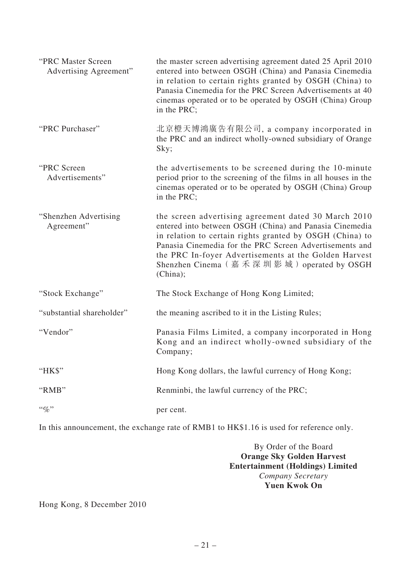| "PRC Master Screen<br>Advertising Agreement" | the master screen advertising agreement dated 25 April 2010<br>entered into between OSGH (China) and Panasia Cinemedia<br>in relation to certain rights granted by OSGH (China) to<br>Panasia Cinemedia for the PRC Screen Advertisements at 40<br>cinemas operated or to be operated by OSGH (China) Group<br>in the PRC;                               |
|----------------------------------------------|----------------------------------------------------------------------------------------------------------------------------------------------------------------------------------------------------------------------------------------------------------------------------------------------------------------------------------------------------------|
| "PRC Purchaser"                              | 北京橙天博鴻廣告有限公司, a company incorporated in<br>the PRC and an indirect wholly-owned subsidiary of Orange<br>Sky;                                                                                                                                                                                                                                             |
| "PRC Screen<br>Advertisements"               | the advertisements to be screened during the 10-minute<br>period prior to the screening of the films in all houses in the<br>cinemas operated or to be operated by OSGH (China) Group<br>in the PRC;                                                                                                                                                     |
| "Shenzhen Advertising<br>Agreement"          | the screen advertising agreement dated 30 March 2010<br>entered into between OSGH (China) and Panasia Cinemedia<br>in relation to certain rights granted by OSGH (China) to<br>Panasia Cinemedia for the PRC Screen Advertisements and<br>the PRC In-foyer Advertisements at the Golden Harvest<br>Shenzhen Cinema (嘉禾深圳影城) operated by OSGH<br>(China); |
| "Stock Exchange"                             | The Stock Exchange of Hong Kong Limited;                                                                                                                                                                                                                                                                                                                 |
| "substantial shareholder"                    | the meaning ascribed to it in the Listing Rules;                                                                                                                                                                                                                                                                                                         |
| "Vendor"                                     | Panasia Films Limited, a company incorporated in Hong<br>Kong and an indirect wholly-owned subsidiary of the<br>Company;                                                                                                                                                                                                                                 |
| "HK\$"                                       | Hong Kong dollars, the lawful currency of Hong Kong;                                                                                                                                                                                                                                                                                                     |
| "RMB"                                        | Renminbi, the lawful currency of the PRC;                                                                                                                                                                                                                                                                                                                |
| $``\%"$                                      | per cent.                                                                                                                                                                                                                                                                                                                                                |

In this announcement, the exchange rate of RMB1 to HK\$1.16 is used for reference only.

By Order of the Board **Orange Sky Golden Harvest Entertainment (Holdings) Limited** *Company Secretary* **Yuen Kwok On**

Hong Kong, 8 December 2010